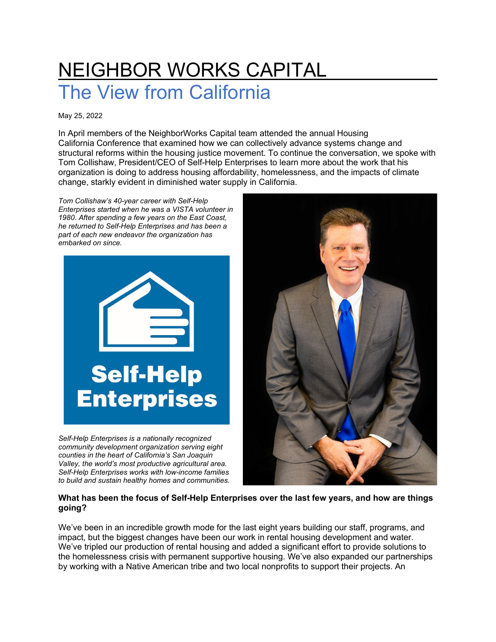# NEIGHBOR WORKS CAPITAL The View from California

May 25, 2022

In April members of the NeighborWorks Capital team attended the annual [Housing](https://www.housingca.org/)  [California](https://www.housingca.org/) Conference that examined how we can collectively advance systems change and structural reforms within the housing justice movement. To continue the conversation, we spoke with Tom Collishaw, President/CEO of Self-Help Enterprises to learn more about the work that his organization is doing to address housing affordability, homelessness, and the impacts of climate change, starkly evident in diminished water supply in California.

*Tom Collishaw's 40-year career with Self-Help Enterprises started when he was a VISTA volunteer in 1980. After spending a few years on the East Coast, he returned to Self-Help Enterprises and has been a part of each new endeavor the organization has embarked on since.*



*Self-Help Enterprises is a nationally recognized community development organization serving eight counties in the heart of California's San Joaquin Valley, the world's most productive agricultural area. Self-Help Enterprises works with low-income families to build and sustain healthy homes and communities.*



## **What has been the focus of Self-Help Enterprises over the last few years, and how are things going?**

We've been in an incredible growth mode for the last eight years building our staff, programs, and impact, but the biggest changes have been our work in rental housing development and water. We've tripled our production of rental housing and added a significant effort to provide solutions to the homelessness crisis with permanent supportive housing. We've also expanded our partnerships by working with a Native American tribe and two local nonprofits to support their projects. An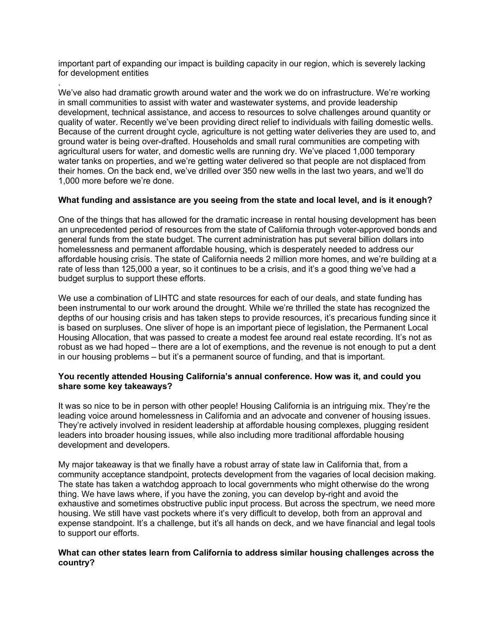important part of expanding our impact is building capacity in our region, which is severely lacking for development entities

. We've also had dramatic growth around water and the work we do on infrastructure. We're working in small communities to assist with water and wastewater systems, and provide leadership development, technical assistance, and access to resources to solve challenges around quantity or quality of water. Recently we've been providing direct relief to individuals with failing domestic wells. Because of the current drought cycle, agriculture is not getting water deliveries they are used to, and ground water is being over-drafted. Households and small rural communities are competing with agricultural users for water, and domestic wells are running dry. We've placed 1,000 temporary water tanks on properties, and we're getting water delivered so that people are not displaced from their homes. On the back end, we've drilled over 350 new wells in the last two years, and we'll do 1,000 more before we're done.

## **What funding and assistance are you seeing from the state and local level, and is it enough?**

One of the things that has allowed for the dramatic increase in rental housing development has been an unprecedented period of resources from the state of California through voter-approved bonds and general funds from the state budget. The current administration has put several billion dollars into homelessness and permanent affordable housing, which is desperately needed to address our affordable housing crisis. The state of California needs 2 million more homes, and we're building at a rate of less than 125,000 a year, so it continues to be a crisis, and it's a good thing we've had a budget surplus to support these efforts.

We use a combination of LIHTC and state resources for each of our deals, and state funding has been instrumental to our work around the drought. While we're thrilled the state has recognized the depths of our housing crisis and has taken steps to provide resources, it's precarious funding since it is based on surpluses. One sliver of hope is an important piece of legislation, the Permanent Local Housing Allocation, that was passed to create a modest fee around real estate recording. It's not as robust as we had hoped – there are a lot of exemptions, and the revenue is not enough to put a dent in our housing problems – but it's a permanent source of funding, and that is important.

#### **You recently attended Housing California's annual conference. How was it, and could you share some key takeaways?**

It was so nice to be in person with other people! Housing California is an intriguing mix. They're the leading voice around homelessness in California and an advocate and convener of housing issues. They're actively involved in resident leadership at affordable housing complexes, plugging resident leaders into broader housing issues, while also including more traditional affordable housing development and developers.

My major takeaway is that we finally have a robust array of state law in California that, from a community acceptance standpoint, protects development from the vagaries of local decision making. The state has taken a watchdog approach to local governments who might otherwise do the wrong thing. We have laws where, if you have the zoning, you can develop by-right and avoid the exhaustive and sometimes obstructive public input process. But across the spectrum, we need more housing. We still have vast pockets where it's very difficult to develop, both from an approval and expense standpoint. It's a challenge, but it's all hands on deck, and we have financial and legal tools to support our efforts.

#### **What can other states learn from California to address similar housing challenges across the country?**